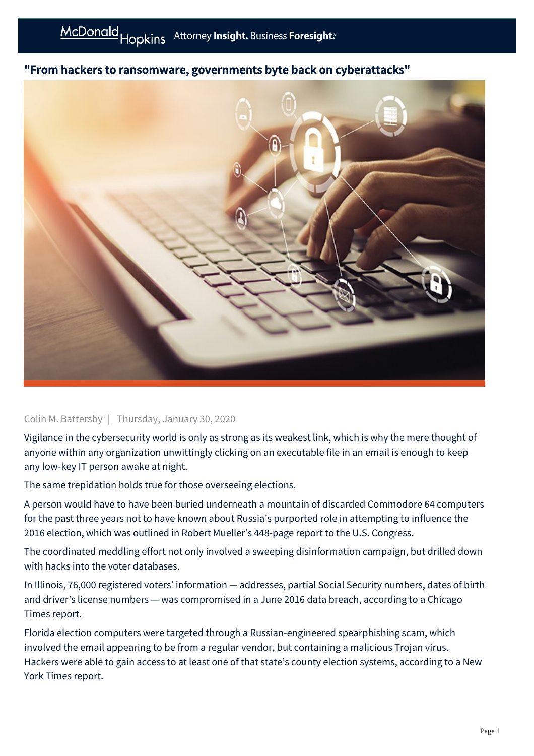## "From hackers to ransomware, governments byte back on cyberattacks"



## Colin M. Battersby | Thursday, January 30, 2020

Vigilance in the cybersecurity world is only as strong as its weakest link, which is why the mere thought of anyone within any organization unwittingly clicking on an executable file in an email is enough to keep any low-key IT person awake at night.

The same trepidation holds true for those overseeing elections.

A person would have to have been buried underneath a mountain of discarded Commodore 64 computers for the past three years not to have known about Russia's purported role in attempting to influence the 2016 election, which was outlined in Robert Mueller's 448-page report to the U.S. Congress.

The coordinated meddling effort not only involved a sweeping disinformation campaign, but drilled down with hacks into the voter databases.

In Illinois, 76,000 registered voters' information — addresses, partial Social Security numbers, dates of birth and driver's license numbers — was compromised in a June 2016 data breach, according to a Chicago Times report.

Florida election computers were targeted through a Russian-engineered spearphishing scam, which involved the email appearing to be from a regular vendor, but containing a malicious Trojan virus. Hackers were able to gain access to at least one of that state's county election systems, according to a New York Times report.